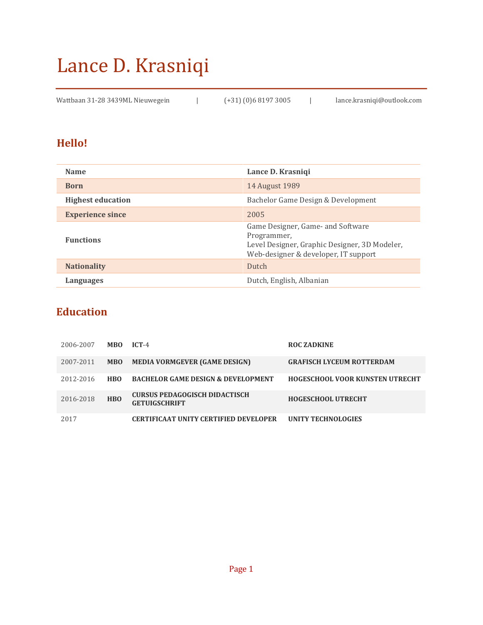# Lance D. Krasniqi

Wattbaan 31-28 3439ML Nieuwegein | (+31) (0)6 8197 3005 | lance.krasniqi@outlook.com

### **Hello!**

| <b>Name</b>              | Lance D. Krasniqi                                                                                                                         |  |
|--------------------------|-------------------------------------------------------------------------------------------------------------------------------------------|--|
| <b>Born</b>              | 14 August 1989                                                                                                                            |  |
| <b>Highest education</b> | Bachelor Game Design & Development                                                                                                        |  |
| <b>Experience since</b>  | 2005                                                                                                                                      |  |
| <b>Functions</b>         | Game Designer, Game- and Software<br>Programmer,<br>Level Designer, Graphic Designer, 3D Modeler,<br>Web-designer & developer, IT support |  |
| <b>Nationality</b>       | Dutch                                                                                                                                     |  |
| Languages                | Dutch, English, Albanian                                                                                                                  |  |

# **Education**

| 2006-2007 | <b>MBO</b> | $ICT-4$                                                      | <b>ROCZADKINE</b>                      |
|-----------|------------|--------------------------------------------------------------|----------------------------------------|
| 2007-2011 | <b>MBO</b> | <b>MEDIA VORMGEVER (GAME DESIGN)</b>                         | <b>GRAFISCH LYCEUM ROTTERDAM</b>       |
| 2012-2016 | <b>HBO</b> | <b>BACHELOR GAME DESIGN &amp; DEVELOPMENT</b>                | <b>HOGESCHOOL VOOR KUNSTEN UTRECHT</b> |
| 2016-2018 | <b>HBO</b> | <b>CURSUS PEDAGOGISCH DIDACTISCH</b><br><b>GETUIGSCHRIFT</b> | <b>HOGESCHOOL UTRECHT</b>              |
| 2017      |            | <b>CERTIFICAAT UNITY CERTIFIED DEVELOPER</b>                 | <b>IINITY TECHNOLOGIES</b>             |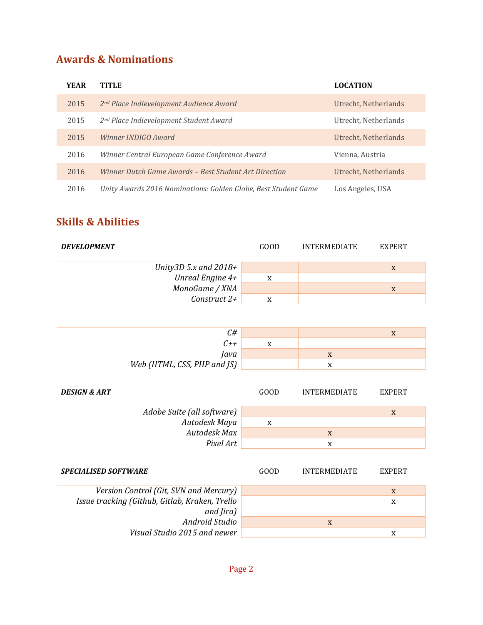# **Awards & Nominations**

| <b>YEAR</b> | TITLE                                                          | <b>LOCATION</b>      |
|-------------|----------------------------------------------------------------|----------------------|
| 2015        | 2 <sup>nd</sup> Place Indievelopment Audience Award            | Utrecht, Netherlands |
| 2015        | 2 <sup>nd</sup> Place Indievelopment Student Award             | Utrecht, Netherlands |
| 2015        | Winner INDIGO Award                                            | Utrecht, Netherlands |
| 2016        | Winner Central European Game Conference Award                  | Vienna, Austria      |
| 2016        | Winner Dutch Game Awards - Best Student Art Direction          | Utrecht, Netherlands |
| 2016        | Unity Awards 2016 Nominations: Golden Globe, Best Student Game | Los Angeles, USA     |

# **Skills & Abilities**

| <b>DEVELOPMENT</b>                             | <b>GOOD</b> | <b>INTERMEDIATE</b> | <b>EXPERT</b> |
|------------------------------------------------|-------------|---------------------|---------------|
| Unity3D 5.x and 2018+                          |             |                     | $\mathbf X$   |
| Unreal Engine 4+                               | X           |                     |               |
| MonoGame / XNA                                 |             |                     | $\mathbf X$   |
| Construct 2+                                   | $\mathbf X$ |                     |               |
|                                                |             |                     |               |
| C#                                             |             |                     | $\mathbf X$   |
| $C++$                                          | X           |                     |               |
| Java                                           |             | X                   |               |
| Web (HTML, CSS, PHP and JS)                    |             | $\mathbf X$         |               |
| <b>DESIGN &amp; ART</b>                        | GOOD        | <b>INTERMEDIATE</b> | <b>EXPERT</b> |
| Adobe Suite (all software)                     |             |                     | $\mathbf X$   |
| Autodesk Maya                                  | X           |                     |               |
| <b>Autodesk Max</b>                            |             | X                   |               |
| Pixel Art                                      |             | $\mathbf X$         |               |
| <b>SPECIALISED SOFTWARE</b>                    | GOOD        | <b>INTERMEDIATE</b> | <b>EXPERT</b> |
| Version Control (Git, SVN and Mercury)         |             |                     | X             |
| Issue tracking (Github, Gitlab, Kraken, Trello |             |                     | X             |
| and Jira)                                      |             |                     |               |
| Android Studio                                 |             |                     |               |

*Visual Studio 2015 and newer* x